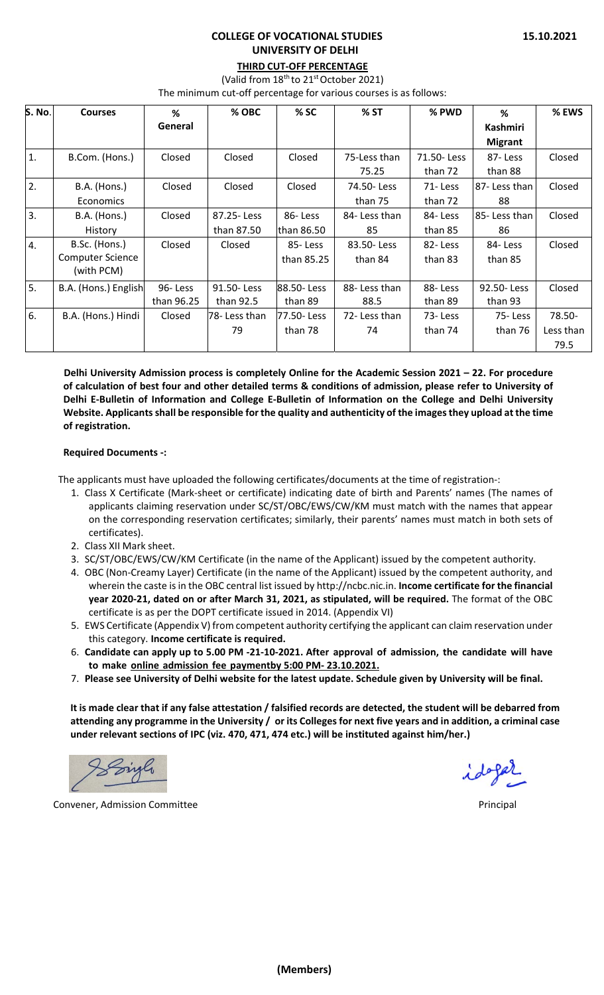## **COLLEGE OF VOCATIONAL STUDIES UNIVERSITY OF DELHI**

## **THIRD CUT‐OFF PERCENTAGE**

(Valid from 18<sup>th</sup> to 21<sup>st</sup> October 2021)

The minimum cut-off percentage for various courses is as follows:

| <b>S. No.</b>    | <b>Courses</b>          | %          | % OBC         | % SC       | % ST          | % PWD      | %              | % EWS     |
|------------------|-------------------------|------------|---------------|------------|---------------|------------|----------------|-----------|
|                  |                         | General    |               |            |               |            | Kashmiri       |           |
|                  |                         |            |               |            |               |            | <b>Migrant</b> |           |
| $\mathbf{1}$ .   | B.Com. (Hons.)          | Closed     | Closed        | Closed     | 75-Less than  | 71.50-Less | 87-Less        | Closed    |
|                  |                         |            |               |            | 75.25         | than 72    | than 88        |           |
| 2.               | B.A. (Hons.)            | Closed     | Closed        | Closed     | 74.50-Less    | 71-Less    | 87- Less than  | Closed    |
|                  | Economics               |            |               |            | than 75       | than 72    | 88             |           |
| 3 <sub>1</sub>   | B.A. (Hons.)            | Closed     | 87.25 - Less  | 86-Less    | 84- Less than | 84-Less    | 85-Less than   | Closed    |
|                  | History                 |            | than 87.50    | than 86.50 | 85            | than 85    | 86             |           |
| $\overline{4}$ . | B.Sc. (Hons.)           | Closed     | Closed        | 85-Less    | 83.50-Less    | 82-Less    | 84-Less        | Closed    |
|                  | <b>Computer Science</b> |            |               | than 85.25 | than 84       | than 83    | than 85        |           |
|                  | (with PCM)              |            |               |            |               |            |                |           |
| 5 <sub>1</sub>   | B.A. (Hons.) English    | 96-Less    | 91.50-Less    | 88.50-Less | 88- Less than | 88-Less    | 92.50-Less     | Closed    |
|                  |                         | than 96.25 | than 92.5     | than 89    | 88.5          | than 89    | than 93        |           |
| 6.               | B.A. (Hons.) Hindi      | Closed     | 78- Less than | 77.50-Less | 72- Less than | 73-Less    | 75-Less        | 78.50-    |
|                  |                         |            | 79            | than 78    | 74            | than 74    | than 76        | Less than |
|                  |                         |            |               |            |               |            |                | 79.5      |

**Delhi University Admission process is completely Online for the Academic Session 2021 – 22. For procedure** of calculation of best four and other detailed terms & conditions of admission, please refer to University of Delhi E-Bulletin of Information and College E-Bulletin of Information on the College and Delhi University **Website. Applicantsshall be responsible for the quality and authenticity of the imagesthey upload at the time of registration.**

## **Required Documents ‐:**

The applicants must have uploaded the following certificates/documents at the time of registration‐:

- 1. Class X Certificate (Mark‐sheet or certificate) indicating date of birth and Parents' names (The names of applicants claiming reservation under SC/ST/OBC/EWS/CW/KM must match with the names that appear on the corresponding reservation certificates; similarly, their parents' names must match in both sets of certificates).
- 2. Class XII Mark sheet.
- 3. SC/ST/OBC/EWS/CW/KM Certificate (in the name of the Applicant) issued by the competent authority.
- 4. OBC (Non‐Creamy Layer) Certificate (in the name of the Applicant) issued by the competent authority, and wherein the caste is in the OBC central list issued by http://ncbc.nic.in. **Income certificate for the financial year 2020‐21, dated on or after March 31, 2021, as stipulated, will be required.** The format of the OBC certificate is as per the DOPT certificate issued in 2014. (Appendix VI)
- 5. EWS Certificate (Appendix V) from competent authority certifying the applicant can claim reservation under this category. **Income certificate is required.**
- 6. Candidate can apply up to 5.00 PM -21-10-2021. After approval of admission, the candidate will have **to make online admission fee paymentby 5:00 PM‐ 23.10.2021.**
- 7. Please see University of Delhi website for the latest update. Schedule given by University will be final.

It is made clear that if any false attestation / falsified records are detected, the student will be debarred from attending any programme in the University / or its Colleges for next five years and in addition, a criminal case **under relevant sections of IPC (viz. 470, 471, 474 etc.) will be instituted against him/her.)**

Convener, Admission Committee **The Convenet of Convention Committee** and Convention Committee **Convention** Committee